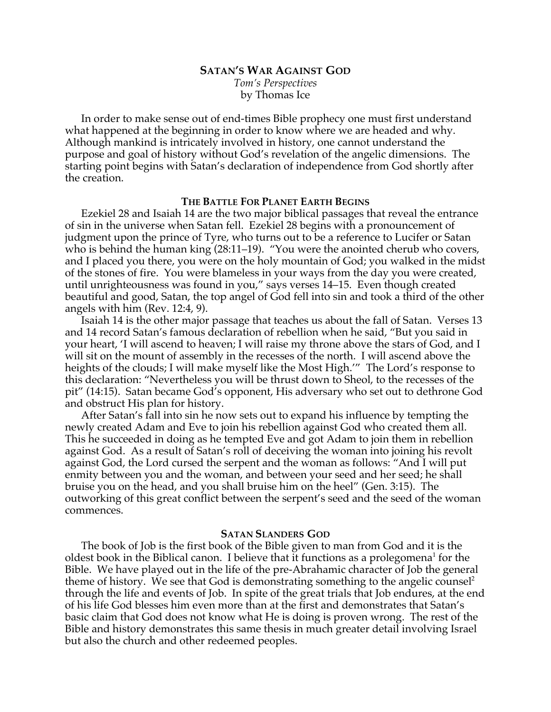# **SATAN'S WAR AGAINST GOD**

*Tom's Perspectives* by Thomas Ice

In order to make sense out of end-times Bible prophecy one must first understand what happened at the beginning in order to know where we are headed and why. Although mankind is intricately involved in history, one cannot understand the purpose and goal of history without God's revelation of the angelic dimensions. The starting point begins with Satan's declaration of independence from God shortly after the creation.

## **THE BATTLE FOR PLANET EARTH BEGINS**

Ezekiel 28 and Isaiah 14 are the two major biblical passages that reveal the entrance of sin in the universe when Satan fell. Ezekiel 28 begins with a pronouncement of judgment upon the prince of Tyre, who turns out to be a reference to Lucifer or Satan who is behind the human king (28:11–19). "You were the anointed cherub who covers, and I placed you there, you were on the holy mountain of God; you walked in the midst of the stones of fire. You were blameless in your ways from the day you were created, until unrighteousness was found in you," says verses 14–15. Even though created beautiful and good, Satan, the top angel of God fell into sin and took a third of the other angels with him (Rev. 12:4, 9).

Isaiah 14 is the other major passage that teaches us about the fall of Satan. Verses 13 and 14 record Satan's famous declaration of rebellion when he said, "But you said in your heart, 'I will ascend to heaven; I will raise my throne above the stars of God, and I will sit on the mount of assembly in the recesses of the north. I will ascend above the heights of the clouds; I will make myself like the Most High.'" The Lord's response to this declaration: "Nevertheless you will be thrust down to Sheol, to the recesses of the pit" (14:15). Satan became God's opponent, His adversary who set out to dethrone God and obstruct His plan for history.

After Satan's fall into sin he now sets out to expand his influence by tempting the newly created Adam and Eve to join his rebellion against God who created them all. This he succeeded in doing as he tempted Eve and got Adam to join them in rebellion against God. As a result of Satan's roll of deceiving the woman into joining his revolt against God, the Lord cursed the serpent and the woman as follows: "And I will put enmity between you and the woman, and between your seed and her seed; he shall bruise you on the head, and you shall bruise him on the heel" (Gen. 3:15). The outworking of this great conflict between the serpent's seed and the seed of the woman commences.

## **SATAN SLANDERS GOD**

The book of Job is the first book of the Bible given to man from God and it is the oldest book in the Biblical canon. I believe that it functions as a prolegomena<sup>1</sup> for the Bible. We have played out in the life of the pre-Abrahamic character of Job the general theme of history. We see that God is demonstrating something to the angelic counsel<sup>2</sup> through the life and events of Job. In spite of the great trials that Job endures, at the end of his life God blesses him even more than at the first and demonstrates that Satan's basic claim that God does not know what He is doing is proven wrong. The rest of the Bible and history demonstrates this same thesis in much greater detail involving Israel but also the church and other redeemed peoples.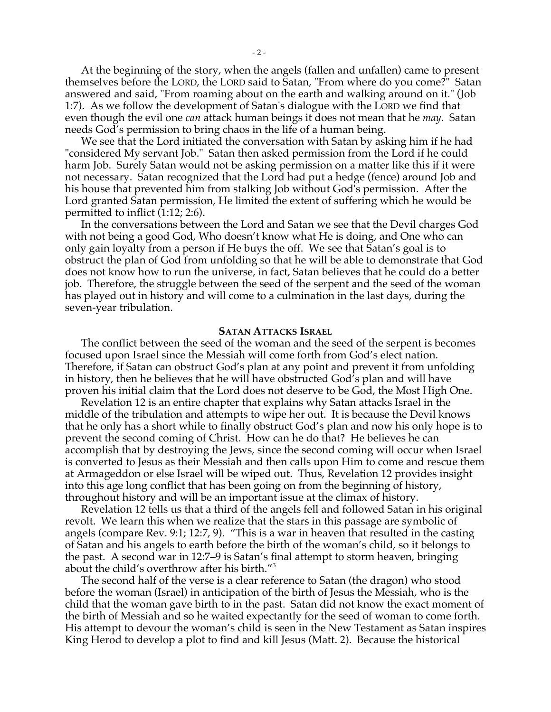At the beginning of the story, when the angels (fallen and unfallen) came to present themselves before the LORD, the LORD said to Satan, "From where do you come?" Satan answered and said, "From roaming about on the earth and walking around on it." (Job 1:7). As we follow the development of Satan's dialogue with the LORD we find that even though the evil one *can* attack human beings it does not mean that he *may*. Satan needs God's permission to bring chaos in the life of a human being.

We see that the Lord initiated the conversation with Satan by asking him if he had "considered My servant Job." Satan then asked permission from the Lord if he could harm Job. Surely Satan would not be asking permission on a matter like this if it were not necessary. Satan recognized that the Lord had put a hedge (fence) around Job and his house that prevented him from stalking Job without God's permission. After the Lord granted Satan permission, He limited the extent of suffering which he would be permitted to inflict (1:12; 2:6).

In the conversations between the Lord and Satan we see that the Devil charges God with not being a good God, Who doesn't know what He is doing, and One who can only gain loyalty from a person if He buys the off. We see that Satan's goal is to obstruct the plan of God from unfolding so that he will be able to demonstrate that God does not know how to run the universe, in fact, Satan believes that he could do a better job. Therefore, the struggle between the seed of the serpent and the seed of the woman has played out in history and will come to a culmination in the last days, during the seven-year tribulation.

#### **SATAN ATTACKS ISRAEL**

The conflict between the seed of the woman and the seed of the serpent is becomes focused upon Israel since the Messiah will come forth from God's elect nation. Therefore, if Satan can obstruct God's plan at any point and prevent it from unfolding in history, then he believes that he will have obstructed God's plan and will have proven his initial claim that the Lord does not deserve to be God, the Most High One.

Revelation 12 is an entire chapter that explains why Satan attacks Israel in the middle of the tribulation and attempts to wipe her out. It is because the Devil knows that he only has a short while to finally obstruct God's plan and now his only hope is to prevent the second coming of Christ. How can he do that? He believes he can accomplish that by destroying the Jews, since the second coming will occur when Israel is converted to Jesus as their Messiah and then calls upon Him to come and rescue them at Armageddon or else Israel will be wiped out. Thus, Revelation 12 provides insight into this age long conflict that has been going on from the beginning of history, throughout history and will be an important issue at the climax of history.

Revelation 12 tells us that a third of the angels fell and followed Satan in his original revolt. We learn this when we realize that the stars in this passage are symbolic of angels (compare Rev. 9:1; 12:7, 9). "This is a war in heaven that resulted in the casting of Satan and his angels to earth before the birth of the woman's child, so it belongs to the past. A second war in 12:7–9 is Satan's final attempt to storm heaven, bringing about the child's overthrow after his birth."<sup>3</sup>

The second half of the verse is a clear reference to Satan (the dragon) who stood before the woman (Israel) in anticipation of the birth of Jesus the Messiah, who is the child that the woman gave birth to in the past. Satan did not know the exact moment of the birth of Messiah and so he waited expectantly for the seed of woman to come forth. His attempt to devour the woman's child is seen in the New Testament as Satan inspires King Herod to develop a plot to find and kill Jesus (Matt. 2). Because the historical